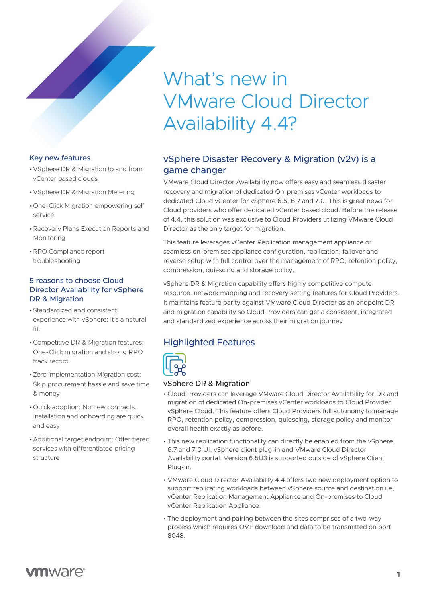### Key new features

- •VSphere DR & Migration to and from vCenter based clouds
- •VSphere DR & Migration Metering
- •One-Click Migration empowering self service
- •Recovery Plans Execution Reports and Monitoring
- •RPO Compliance report troubleshooting

#### 5 reasons to choose Cloud Director Availability for vSphere DR & Migration

- •Standardized and consistent experience with vSphere: It's a natural fit.
- •Competitive DR & Migration features: One-Click migration and strong RPO track record
- •Zero implementation Migration cost: Skip procurement hassle and save time & money
- •Quick adoption: No new contracts. Installation and onboarding are quick and easy
- •Additional target endpoint: Offer tiered services with differentiated pricing structure

# What's new in VMware Cloud Director Availability 4.4?

# vSphere Disaster Recovery & Migration (v2v) is a game changer

VMware Cloud Director Availability now offers easy and seamless disaster recovery and migration of dedicated On-premises vCenter workloads to dedicated Cloud vCenter for vSphere 6.5, 6.7 and 7.0. This is great news for Cloud providers who offer dedicated vCenter based cloud. Before the release of 4.4, this solution was exclusive to Cloud Providers utilizing VMware Cloud Director as the only target for migration.

This feature leverages vCenter Replication management appliance or seamless on-premises appliance configuration, replication, failover and reverse setup with full control over the management of RPO, retention policy, compression, quiescing and storage policy.

vSphere DR & Migration capability offers highly competitive compute resource, network mapping and recovery setting features for Cloud Providers. It maintains feature parity against VMware Cloud Director as an endpoint DR and migration capability so Cloud Providers can get a consistent, integrated and standardized experience across their migration journey

# Highlighted Features



#### vSphere DR & Migration

- Cloud Providers can leverage VMware Cloud Director Availability for DR and migration of dedicated On-premises vCenter workloads to Cloud Provider vSphere Cloud. This feature offers Cloud Providers full autonomy to manage RPO, retention policy, compression, quiescing, storage policy and monitor overall health exactly as before.
- This new replication functionality can directly be enabled from the vSphere, 6.7 and 7.0 UI, vSphere client plug-in and VMware Cloud Director Availability portal. Version 6.5U3 is supported outside of vSphere Client Plug-in.
- VMware Cloud Director Availability 4.4 offers two new deployment option to support replicating workloads between vSphere source and destination i.e, vCenter Replication Management Appliance and On-premises to Cloud vCenter Replication Appliance.
- The deployment and pairing between the sites comprises of a two-way process which requires OVF download and data to be transmitted on port 8048.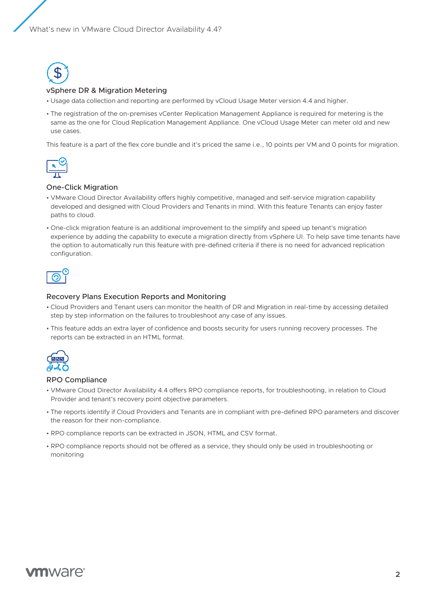

#### vSphere DR & Migration Metering

- Usage data collection and reporting are performed by vCloud Usage Meter version 4.4 and higher.
- The registration of the on-premises vCenter Replication Management Appliance is required for metering is the same as the one for Cloud Replication Management Appliance. One vCloud Usage Meter can meter old and new use cases.

This feature is a part of the flex core bundle and it's priced the same i.e., 10 points per VM and 0 points for migration.



#### One-Click Migration

- VMware Cloud Director Availability offers highly competitive, managed and self-service migration capability developed and designed with Cloud Providers and Tenants in mind. With this feature Tenants can enjoy faster paths to cloud.
- One-click migration feature is an additional improvement to the simplify and speed up tenant's migration experience by adding the capability to execute a migration directly from vSphere UI. To help save time tenants have the option to automatically run this feature with pre-defined criteria if there is no need for advanced replication configuration.



#### Recovery Plans Execution Reports and Monitoring

- Cloud Providers and Tenant users can monitor the health of DR and Migration in real-time by accessing detailed step by step information on the failures to troubleshoot any case of any issues.
- This feature adds an extra layer of confidence and boosts security for users running recovery processes. The reports can be extracted in an HTML format.



#### RPO Compliance

- VMware Cloud Director Availability 4.4 offers RPO compliance reports, for troubleshooting, in relation to Cloud Provider and tenant's recovery point objective parameters.
- The reports identify if Cloud Providers and Tenants are in compliant with pre-defined RPO parameters and discover the reason for their non-compliance.
- RPO compliance reports can be extracted in JSON, HTML and CSV format.
- RPO compliance reports should not be offered as a service, they should only be used in troubleshooting or monitoring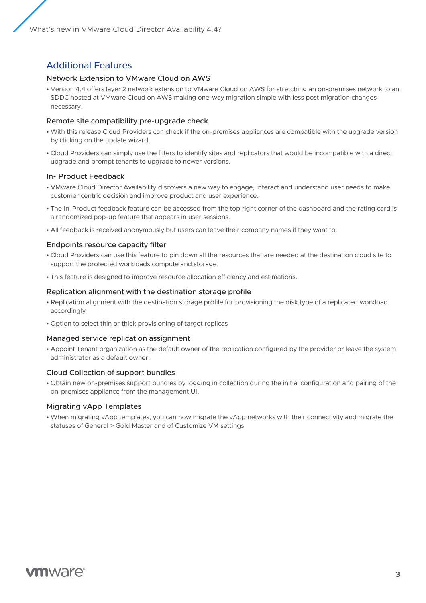What's new in VMware Cloud Director Availability 4.4?

## Additional Features

#### Network Extension to VMware Cloud on AWS

• Version 4.4 offers layer 2 network extension to VMware Cloud on AWS for stretching an on-premises network to an SDDC hosted at VMware Cloud on AWS making one-way migration simple with less post migration changes necessary.

#### Remote site compatibility pre-upgrade check

- With this release Cloud Providers can check if the on-premises appliances are compatible with the upgrade version by clicking on the update wizard.
- Cloud Providers can simply use the filters to identify sites and replicators that would be incompatible with a direct upgrade and prompt tenants to upgrade to newer versions.

#### In- Product Feedback

- VMware Cloud Director Availability discovers a new way to engage, interact and understand user needs to make customer centric decision and improve product and user experience.
- The In-Product feedback feature can be accessed from the top right corner of the dashboard and the rating card is a randomized pop-up feature that appears in user sessions.
- All feedback is received anonymously but users can leave their company names if they want to.

#### Endpoints resource capacity filter

- Cloud Providers can use this feature to pin down all the resources that are needed at the destination cloud site to support the protected workloads compute and storage.
- This feature is designed to improve resource allocation efficiency and estimations.

#### Replication alignment with the destination storage profile

- Replication alignment with the destination storage profile for provisioning the disk type of a replicated workload accordingly
- Option to select thin or thick provisioning of target replicas

#### Managed service replication assignment

• Appoint Tenant organization as the default owner of the replication configured by the provider or leave the system administrator as a default owner.

#### Cloud Collection of support bundles

• Obtain new on-premises support bundles by logging in collection during the initial configuration and pairing of the on-premises appliance from the management UI.

#### Migrating vApp Templates

• When migrating vApp templates, you can now migrate the vApp networks with their connectivity and migrate the statuses of General > Gold Master and of Customize VM settings